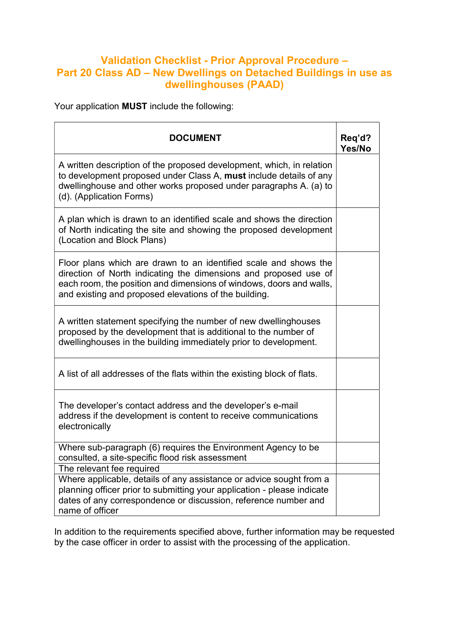## Validation Checklist - Prior Approval Procedure – Part 20 Class AD – New Dwellings on Detached Buildings in use as dwellinghouses (PAAD)

Your application MUST include the following:

| <b>DOCUMENT</b>                                                                                                                                                                                                                                                      | Req'd?<br>Yes/No |
|----------------------------------------------------------------------------------------------------------------------------------------------------------------------------------------------------------------------------------------------------------------------|------------------|
| A written description of the proposed development, which, in relation<br>to development proposed under Class A, must include details of any<br>dwellinghouse and other works proposed under paragraphs A. (a) to<br>(d). (Application Forms)                         |                  |
| A plan which is drawn to an identified scale and shows the direction<br>of North indicating the site and showing the proposed development<br>(Location and Block Plans)                                                                                              |                  |
| Floor plans which are drawn to an identified scale and shows the<br>direction of North indicating the dimensions and proposed use of<br>each room, the position and dimensions of windows, doors and walls,<br>and existing and proposed elevations of the building. |                  |
| A written statement specifying the number of new dwellinghouses<br>proposed by the development that is additional to the number of<br>dwellinghouses in the building immediately prior to development.                                                               |                  |
| A list of all addresses of the flats within the existing block of flats.                                                                                                                                                                                             |                  |
| The developer's contact address and the developer's e-mail<br>address if the development is content to receive communications<br>electronically                                                                                                                      |                  |
| Where sub-paragraph (6) requires the Environment Agency to be<br>consulted, a site-specific flood risk assessment                                                                                                                                                    |                  |
| The relevant fee required                                                                                                                                                                                                                                            |                  |
| Where applicable, details of any assistance or advice sought from a<br>planning officer prior to submitting your application - please indicate<br>dates of any correspondence or discussion, reference number and<br>name of officer                                 |                  |

In addition to the requirements specified above, further information may be requested by the case officer in order to assist with the processing of the application.